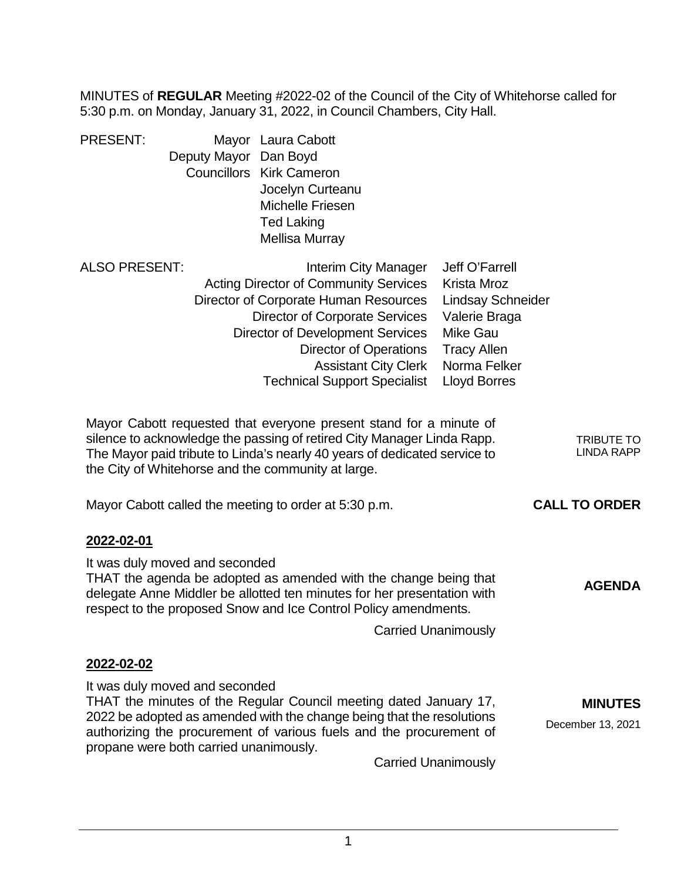MINUTES of **REGULAR** Meeting #2022-02 of the Council of the City of Whitehorse called for 5:30 p.m. on Monday, January 31, 2022, in Council Chambers, City Hall.

| <b>PRESENT:</b> |                       | Mayor Laura Cabott              |
|-----------------|-----------------------|---------------------------------|
|                 | Deputy Mayor Dan Boyd |                                 |
|                 |                       | <b>Councillors Kirk Cameron</b> |
|                 |                       | Jocelyn Curteanu                |
|                 |                       | Michelle Friesen                |
|                 |                       | <b>Ted Laking</b>               |
|                 |                       | Mellisa Murray                  |
|                 |                       |                                 |

| ALSO PRESENT:                  | Interim City Manager                                                                                                                                                                                                                                                                                                                     | Jeff O'Farrell           |                                                                |
|--------------------------------|------------------------------------------------------------------------------------------------------------------------------------------------------------------------------------------------------------------------------------------------------------------------------------------------------------------------------------------|--------------------------|----------------------------------------------------------------|
|                                | <b>Acting Director of Community Services</b>                                                                                                                                                                                                                                                                                             | Krista Mroz              |                                                                |
|                                | Director of Corporate Human Resources                                                                                                                                                                                                                                                                                                    | <b>Lindsay Schneider</b> |                                                                |
|                                | Director of Corporate Services                                                                                                                                                                                                                                                                                                           | Valerie Braga            |                                                                |
|                                | Director of Development Services                                                                                                                                                                                                                                                                                                         | <b>Mike Gau</b>          |                                                                |
|                                | Director of Operations                                                                                                                                                                                                                                                                                                                   | <b>Tracy Allen</b>       |                                                                |
|                                | <b>Assistant City Clerk</b>                                                                                                                                                                                                                                                                                                              | Norma Felker             |                                                                |
|                                | <b>Technical Support Specialist</b>                                                                                                                                                                                                                                                                                                      | Lloyd Borres             |                                                                |
|                                | Mayor Cabott requested that everyone present stand for a minute of<br>silence to acknowledge the passing of retired City Manager Linda Rapp.<br>The Mayor paid tribute to Linda's nearly 40 years of dedicated service to<br>the City of Whitehorse and the community at large.<br>Mayor Cabott called the meeting to order at 5:30 p.m. |                          | <b>TRIBUTE TO</b><br><b>LINDA RAPP</b><br><b>CALL TO ORDER</b> |
| 2022-02-01                     |                                                                                                                                                                                                                                                                                                                                          |                          |                                                                |
| It was duly moved and seconded | THAT the agenda be adopted as amended with the change being that<br>delegate Anna Middler he allotted ten minutes for her presentation with                                                                                                                                                                                              |                          | <b>AGENDA</b>                                                  |

delegate Anne Middler be allotted ten minutes for her presentation with respect to the proposed Snow and Ice Control Policy amendments.

Carried Unanimously

# **2022-02-02**

It was duly moved and seconded THAT the minutes of the Regular Council meeting dated January 17, 2022 be adopted as amended with the change being that the resolutions authorizing the procurement of various fuels and the procurement of propane were both carried unanimously. **MINUTES** December 13, 2021

Carried Unanimously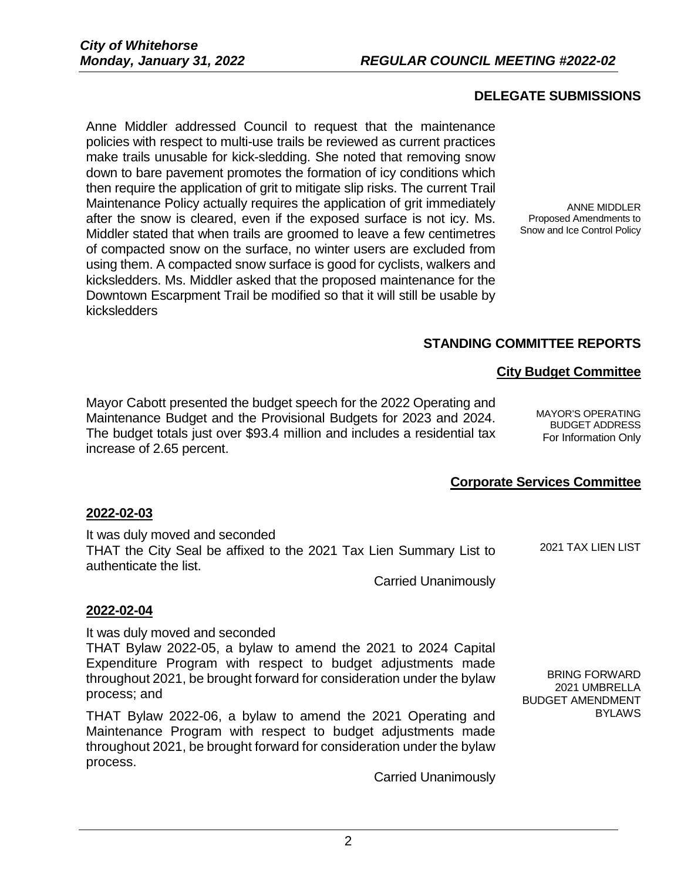# **DELEGATE SUBMISSIONS**

Anne Middler addressed Council to request that the maintenance policies with respect to multi-use trails be reviewed as current practices make trails unusable for kick-sledding. She noted that removing snow down to bare pavement promotes the formation of icy conditions which then require the application of grit to mitigate slip risks. The current Trail Maintenance Policy actually requires the application of grit immediately after the snow is cleared, even if the exposed surface is not icy. Ms. Middler stated that when trails are groomed to leave a few centimetres of compacted snow on the surface, no winter users are excluded from using them. A compacted snow surface is good for cyclists, walkers and kicksledders. Ms. Middler asked that the proposed maintenance for the Downtown Escarpment Trail be modified so that it will still be usable by kicksledders

ANNE MIDDLER Proposed Amendments to Snow and Ice Control Policy

# **STANDING COMMITTEE REPORTS**

### **City Budget Committee**

Mayor Cabott presented the budget speech for the 2022 Operating and Maintenance Budget and the Provisional Budgets for 2023 and 2024. The budget totals just over \$93.4 million and includes a residential tax increase of 2.65 percent.

MAYOR'S OPERATING BUDGET ADDRESS For Information Only

# **Corporate Services Committee**

### **2022-02-03**

It was duly moved and seconded THAT the City Seal be affixed to the 2021 Tax Lien Summary List to authenticate the list. 2021 TAX LIEN LIST

Carried Unanimously

### **2022-02-04**

It was duly moved and seconded

THAT Bylaw 2022-05, a bylaw to amend the 2021 to 2024 Capital Expenditure Program with respect to budget adjustments made throughout 2021, be brought forward for consideration under the bylaw process; and

THAT Bylaw 2022-06, a bylaw to amend the 2021 Operating and Maintenance Program with respect to budget adjustments made throughout 2021, be brought forward for consideration under the bylaw process.

Carried Unanimously

BRING FORWARD 2021 UMBRELLA BUDGET AMENDMENT BYLAWS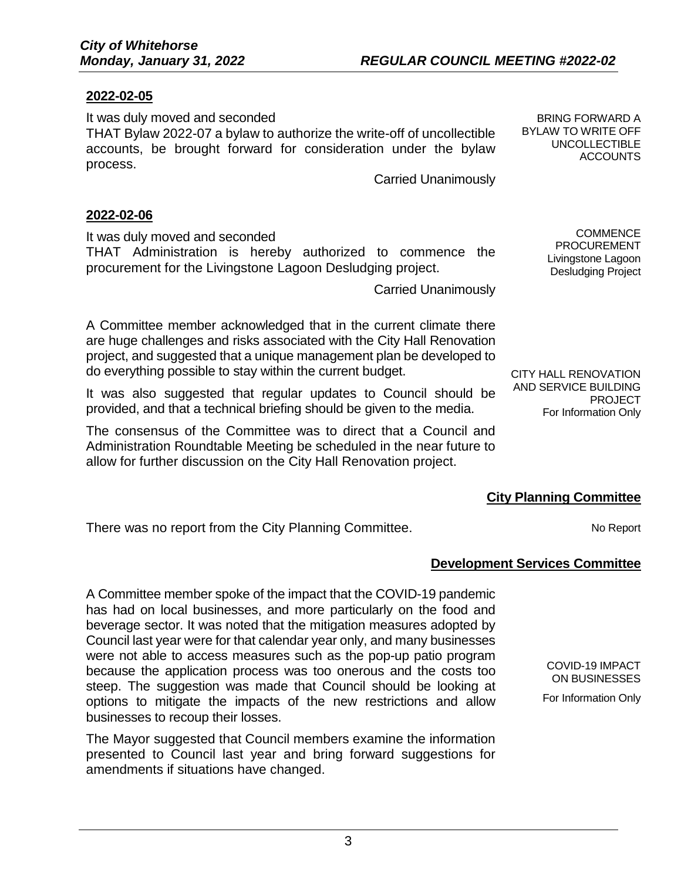# **2022-02-05**

It was duly moved and seconded THAT Bylaw 2022-07 a bylaw to authorize the write-off of uncollectible accounts, be brought forward for consideration under the bylaw process.

Carried Unanimously

### **2022-02-06**

It was duly moved and seconded

THAT Administration is hereby authorized to commence the procurement for the Livingstone Lagoon Desludging project.

Carried Unanimously

A Committee member acknowledged that in the current climate there are huge challenges and risks associated with the City Hall Renovation project, and suggested that a unique management plan be developed to do everything possible to stay within the current budget.

It was also suggested that regular updates to Council should be provided, and that a technical briefing should be given to the media.

The consensus of the Committee was to direct that a Council and Administration Roundtable Meeting be scheduled in the near future to allow for further discussion on the City Hall Renovation project.

**COMMENCE** PROCUREMENT Livingstone Lagoon Desludging Project

BRING FORWARD A BYLAW TO WRITE OFF UNCOLLECTIBLE ACCOUNTS

CITY HALL RENOVATION AND SERVICE BUILDING PROJECT For Information Only

# **City Planning Committee**

There was no report from the City Planning Committee. There was no Report

# **Development Services Committee**

A Committee member spoke of the impact that the COVID-19 pandemic has had on local businesses, and more particularly on the food and beverage sector. It was noted that the mitigation measures adopted by Council last year were for that calendar year only, and many businesses were not able to access measures such as the pop-up patio program because the application process was too onerous and the costs too steep. The suggestion was made that Council should be looking at options to mitigate the impacts of the new restrictions and allow businesses to recoup their losses.

The Mayor suggested that Council members examine the information presented to Council last year and bring forward suggestions for amendments if situations have changed.

COVID-19 IMPACT ON BUSINESSES

For Information Only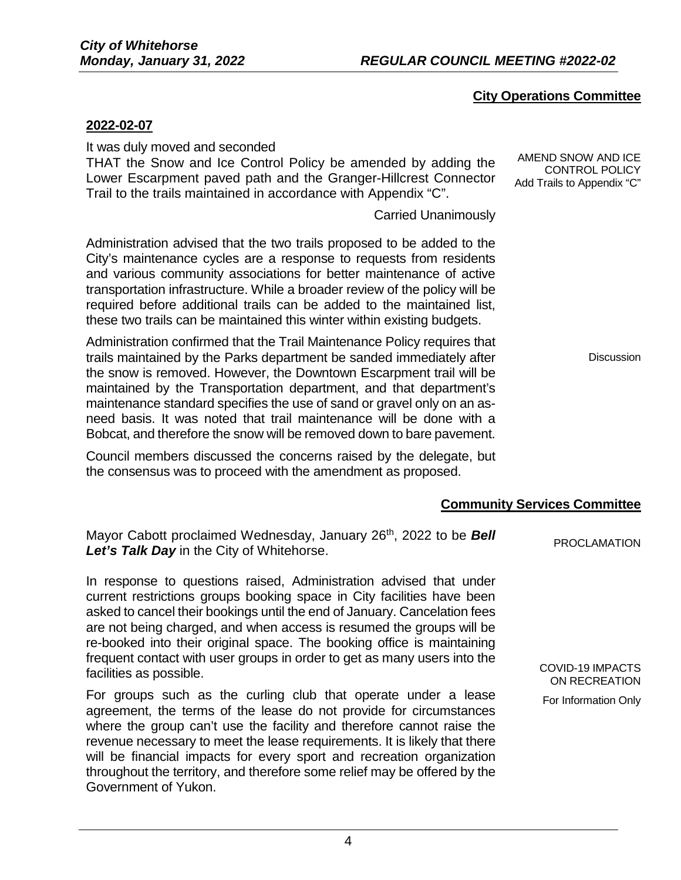# **City Operations Committee**

### **2022-02-07**

It was duly moved and seconded

THAT the Snow and Ice Control Policy be amended by adding the Lower Escarpment paved path and the Granger-Hillcrest Connector Trail to the trails maintained in accordance with Appendix "C".

Carried Unanimously

Administration advised that the two trails proposed to be added to the City's maintenance cycles are a response to requests from residents and various community associations for better maintenance of active transportation infrastructure. While a broader review of the policy will be required before additional trails can be added to the maintained list, these two trails can be maintained this winter within existing budgets.

Administration confirmed that the Trail Maintenance Policy requires that trails maintained by the Parks department be sanded immediately after the snow is removed. However, the Downtown Escarpment trail will be maintained by the Transportation department, and that department's maintenance standard specifies the use of sand or gravel only on an asneed basis. It was noted that trail maintenance will be done with a Bobcat, and therefore the snow will be removed down to bare pavement.

Council members discussed the concerns raised by the delegate, but the consensus was to proceed with the amendment as proposed.

# **Community Services Committee**

Mayor Cabott proclaimed Wednesday, January 26th, 2022 to be *Bell*  **Let's Talk Day** in the City of Whitehorse.

In response to questions raised, Administration advised that under current restrictions groups booking space in City facilities have been asked to cancel their bookings until the end of January. Cancelation fees are not being charged, and when access is resumed the groups will be re-booked into their original space. The booking office is maintaining frequent contact with user groups in order to get as many users into the facilities as possible.

For groups such as the curling club that operate under a lease agreement, the terms of the lease do not provide for circumstances where the group can't use the facility and therefore cannot raise the revenue necessary to meet the lease requirements. It is likely that there will be financial impacts for every sport and recreation organization throughout the territory, and therefore some relief may be offered by the Government of Yukon.

AMEND SNOW AND ICE CONTROL POLICY Add Trails to Appendix "C"

**Discussion** 

COVID-19 IMPACTS ON RECREATION For Information Only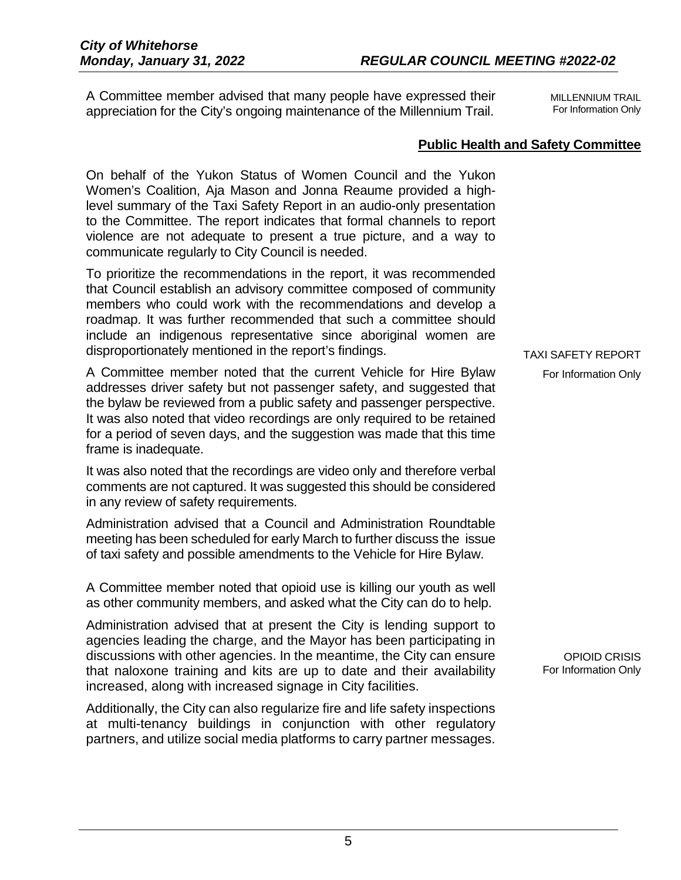A Committee member advised that many people have expressed their appreciation for the City's ongoing maintenance of the Millennium Trail.

MILLENNIUM TRAIL For Information Only

# **Public Health and Safety Committee**

On behalf of the Yukon Status of Women Council and the Yukon Women's Coalition, Aja Mason and Jonna Reaume provided a highlevel summary of the Taxi Safety Report in an audio-only presentation to the Committee. The report indicates that formal channels to report violence are not adequate to present a true picture, and a way to communicate regularly to City Council is needed.

To prioritize the recommendations in the report, it was recommended that Council establish an advisory committee composed of community members who could work with the recommendations and develop a roadmap. It was further recommended that such a committee should include an indigenous representative since aboriginal women are disproportionately mentioned in the report's findings.

A Committee member noted that the current Vehicle for Hire Bylaw addresses driver safety but not passenger safety, and suggested that the bylaw be reviewed from a public safety and passenger perspective. It was also noted that video recordings are only required to be retained for a period of seven days, and the suggestion was made that this time frame is inadequate.

It was also noted that the recordings are video only and therefore verbal comments are not captured. It was suggested this should be considered in any review of safety requirements.

Administration advised that a Council and Administration Roundtable meeting has been scheduled for early March to further discuss the issue of taxi safety and possible amendments to the Vehicle for Hire Bylaw.

A Committee member noted that opioid use is killing our youth as well as other community members, and asked what the City can do to help.

Administration advised that at present the City is lending support to agencies leading the charge, and the Mayor has been participating in discussions with other agencies. In the meantime, the City can ensure that naloxone training and kits are up to date and their availability increased, along with increased signage in City facilities.

Additionally, the City can also regularize fire and life safety inspections at multi-tenancy buildings in conjunction with other regulatory partners, and utilize social media platforms to carry partner messages.

### TAXI SAFETY REPORT

For Information Only

OPIOID CRISIS For Information Only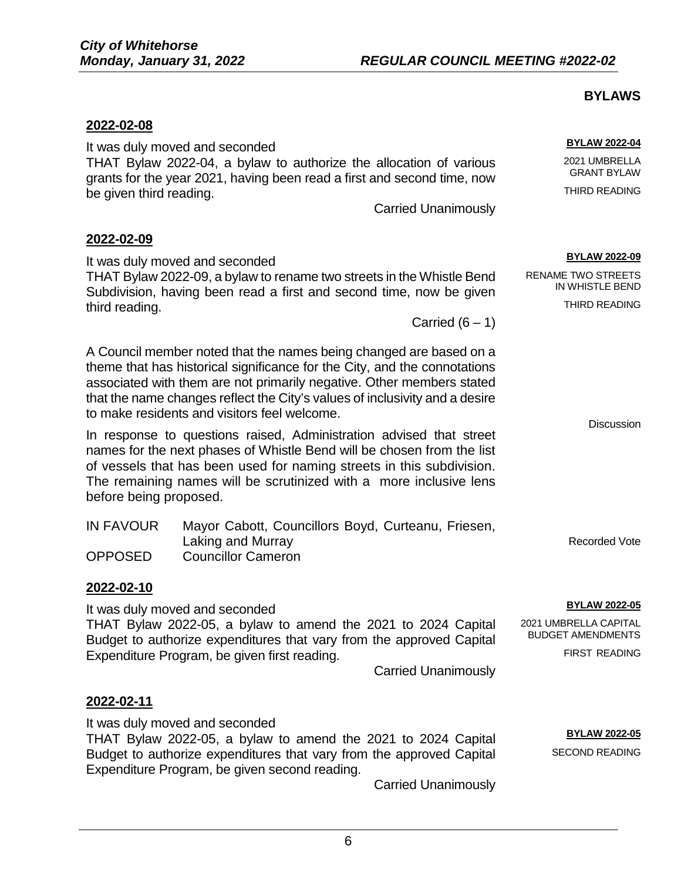# **BYLAWS**

**BYLAW 2022-04** 2021 UMBRELLA GRANT BYLAW THIRD READING

| 2022-02-08 |  |
|------------|--|
|            |  |

It was duly moved and seconded THAT Bylaw 2022-04, a bylaw to authorize the allocation of various grants for the year 2021, having been read a first and second time, now be given third reading.

Carried Unanimously

### **2022-02-09**

It was duly moved and seconded

### THAT Bylaw 2022-09, a bylaw to rename two streets in the Whistle Bend Subdivision, having been read a first and second time, now be given third reading.

Carried  $(6 - 1)$ 

A Council member noted that the names being changed are based on a theme that has historical significance for the City, and the connotations associated with them are not primarily negative. Other members stated that the name changes reflect the City's values of inclusivity and a desire to make residents and visitors feel welcome.

In response to questions raised, Administration advised that street names for the next phases of Whistle Bend will be chosen from the list of vessels that has been used for naming streets in this subdivision. The remaining names will be scrutinized with a more inclusive lens before being proposed.

| <b>IN FAVOUR</b> | Mayor Cabott, Councillors Boyd, Curteanu, Friesen, |          |
|------------------|----------------------------------------------------|----------|
|                  | Laking and Murray                                  | Recorded |
| <b>OPPOSED</b>   | <b>Councillor Cameron</b>                          |          |

### **2022-02-10**

It was duly moved and seconded THAT Bylaw 2022-05, a bylaw to amend the 2021 to 2024 Capital Budget to authorize expenditures that vary from the approved Capital Expenditure Program, be given first reading.

Carried Unanimously

# **2022-02-11**

It was duly moved and seconded THAT Bylaw 2022-05, a bylaw to amend the 2021 to 2024 Capital Budget to authorize expenditures that vary from the approved Capital Expenditure Program, be given second reading.

Carried Unanimously

### **BYLAW 2022-09**

RENAME TWO STREETS IN WHISTLE BEND THIRD READING

**Discussion** 

Vote

### **BYLAW 2022-05**

2021 UMBRELLA CAPITAL BUDGET AMENDMENTS

FIRST READING

**BYLAW 2022-05**

SECOND READING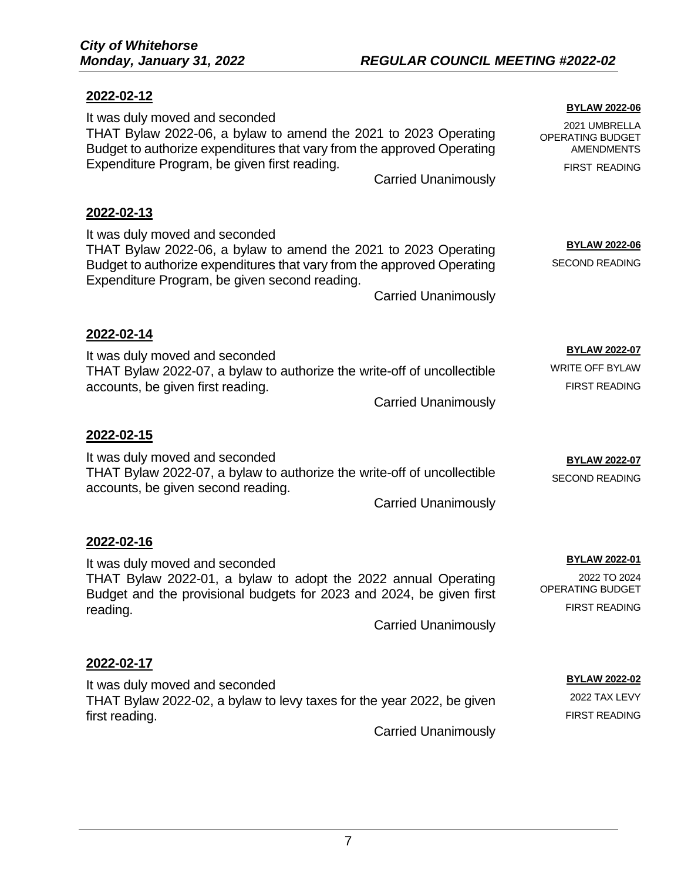# **2022-02-12**

|                                                                                                                                                                                                                                                            | <b>BYLAW 2022-06</b>                                                             |
|------------------------------------------------------------------------------------------------------------------------------------------------------------------------------------------------------------------------------------------------------------|----------------------------------------------------------------------------------|
| It was duly moved and seconded<br>THAT Bylaw 2022-06, a bylaw to amend the 2021 to 2023 Operating<br>Budget to authorize expenditures that vary from the approved Operating                                                                                | 2021 UMBRELLA<br>OPERATING BUDGET<br><b>AMENDMENTS</b>                           |
| Expenditure Program, be given first reading.<br><b>Carried Unanimously</b>                                                                                                                                                                                 | <b>FIRST READING</b>                                                             |
| 2022-02-13                                                                                                                                                                                                                                                 |                                                                                  |
| It was duly moved and seconded<br>THAT Bylaw 2022-06, a bylaw to amend the 2021 to 2023 Operating<br>Budget to authorize expenditures that vary from the approved Operating<br>Expenditure Program, be given second reading.<br><b>Carried Unanimously</b> | <b>BYLAW 2022-06</b><br><b>SECOND READING</b>                                    |
| 2022-02-14                                                                                                                                                                                                                                                 |                                                                                  |
| It was duly moved and seconded<br>THAT Bylaw 2022-07, a bylaw to authorize the write-off of uncollectible<br>accounts, be given first reading.<br><b>Carried Unanimously</b>                                                                               | <b>BYLAW 2022-07</b><br><b>WRITE OFF BYLAW</b><br><b>FIRST READING</b>           |
| 2022-02-15                                                                                                                                                                                                                                                 |                                                                                  |
| It was duly moved and seconded<br>THAT Bylaw 2022-07, a bylaw to authorize the write-off of uncollectible<br>accounts, be given second reading.<br><b>Carried Unanimously</b>                                                                              | <b>BYLAW 2022-07</b><br><b>SECOND READING</b>                                    |
| 2022-02-16                                                                                                                                                                                                                                                 |                                                                                  |
| It was duly moved and seconded<br>THAT Bylaw 2022-01, a bylaw to adopt the 2022 annual Operating<br>Budget and the provisional budgets for 2023 and 2024, be given first<br>reading.<br><b>Carried Unanimously</b>                                         | <b>BYLAW 2022-01</b><br>2022 TO 2024<br>OPERATING BUDGET<br><b>FIRST READING</b> |
| 2022-02-17                                                                                                                                                                                                                                                 |                                                                                  |
| It was duly moved and seconded<br>THAT Bylaw 2022-02, a bylaw to levy taxes for the year 2022, be given<br>first reading.                                                                                                                                  | <b>BYLAW 2022-02</b><br>2022 TAX LEVY<br><b>FIRST READING</b>                    |
| <b>Carried Unanimously</b>                                                                                                                                                                                                                                 |                                                                                  |